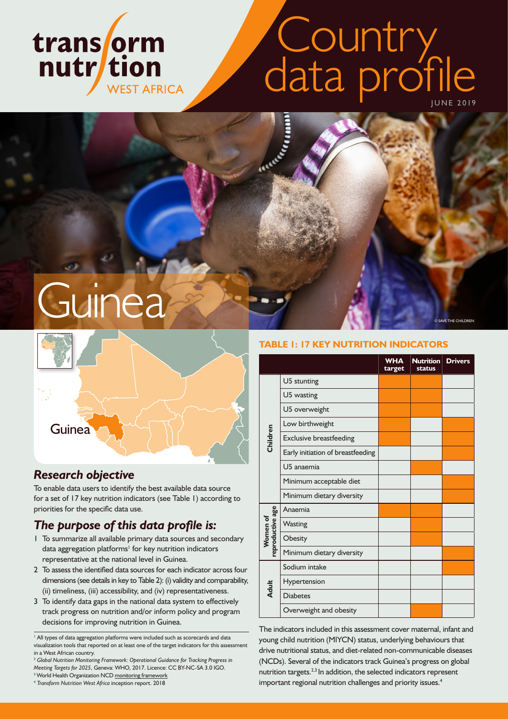# trans orm nutr/tion **WEST AFRICA**

# Country data profile

**CONTROLLER** 

**Guinea** 



# *Research objective*

To enable data users to identify the best available data source for a set of 17 key nutrition indicators (see Table 1) according to priorities for the specific data use.

# *The purpose of this data profile is:*

- 1 To summarize all available primary data sources and secondary data aggregation platforms<sup>1</sup> for key nutrition indicators representative at the national level in Guinea.
- 2 To assess the identified data sources for each indicator across four dimensions (see details in key to Table 2): (i) validity and comparability, (ii) timeliness, (iii) accessibility, and (iv) representativeness.
- 3 To identify data gaps in the national data system to effectively track progress on nutrition and/or inform policy and program decisions for improving nutrition in Guinea.

<sup>1</sup> All types of data aggregation platforms were included such as scorecards and data visualization tools that reported on at least one of the target indicators for this assessment in a West African country.

<sup>2</sup> *Global Nutrition Monitoring Framework: Operational Guidance for Tracking Progress in Meeting Targets for 2025*, Geneva: WHO, 2017. Licence: CC BY-NC-SA 3.0 IGO.

<sup>3</sup> World Health Organization NCD [monitoring framework](https://www.who.int/nmh/global_monitoring_framework/2013-11-06-who-dc-c268-whp-gap-ncds-techdoc-def3.pdf?ua=1)

<sup>4</sup> *Transform Nutrition West Africa* inception report. 2018

#### **TABLE 1: 17 KEY NUTRITION INDICATORS**

© SAVE THE CHILDREN

|                              |                                   | <b>WHA</b><br>target | <b>Nutrition</b><br><b>status</b> | <b>Drivers</b> |
|------------------------------|-----------------------------------|----------------------|-----------------------------------|----------------|
|                              | U5 stunting                       |                      |                                   |                |
|                              | U5 wasting                        |                      |                                   |                |
|                              | U5 overweight                     |                      |                                   |                |
|                              | Low birthweight                   |                      |                                   |                |
| Children                     | <b>Exclusive breastfeeding</b>    |                      |                                   |                |
|                              | Early initiation of breastfeeding |                      |                                   |                |
|                              | U5 anaemia                        |                      |                                   |                |
|                              | Minimum acceptable diet           |                      |                                   |                |
|                              | Minimum dietary diversity         |                      |                                   |                |
| Women of<br>reproductive age | Anaemia                           |                      |                                   |                |
|                              | <b>Wasting</b>                    |                      |                                   |                |
|                              | Obesity                           |                      |                                   |                |
|                              | Minimum dietary diversity         |                      |                                   |                |
|                              | Sodium intake                     |                      |                                   |                |
|                              | Hypertension                      |                      |                                   |                |
| Adult                        | <b>Diabetes</b>                   |                      |                                   |                |
|                              | Overweight and obesity            |                      |                                   |                |

The indicators included in this assessment cover maternal, infant and young child nutrition (MIYCN) status, underlying behaviours that drive nutritional status, and diet-related non-communicable diseases (NCDs). Several of the indicators track Guinea's progress on global nutrition targets.<sup>2,3</sup> In addition, the selected indicators represent important regional nutrition challenges and priority issues.<sup>4</sup>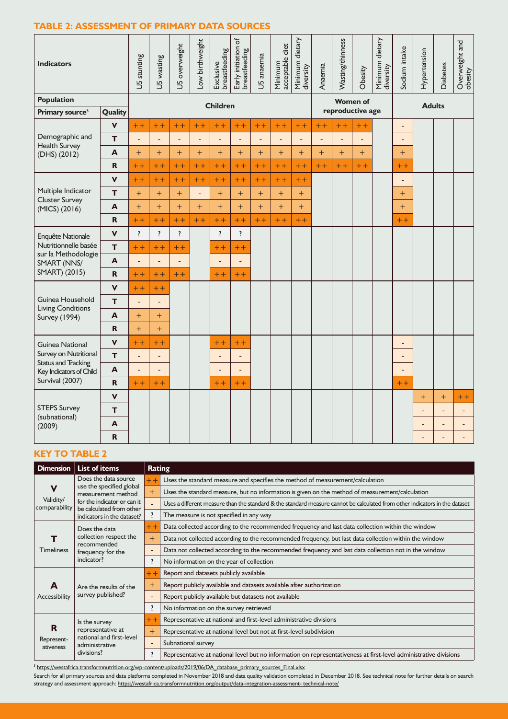#### **TABLE 2: ASSESSMENT OF PRIMARY DATA SOURCES**

| <b>Indicators</b>                                   |              | U5 stunting              | U5 wasting               | U5 overweight           | Low birthweight          | Exclusive<br>breastfeeding | đ<br>Early initiation c<br>breastfeeding | U5 anaemia     | Minimum<br>acceptable diet | Minimum dietary<br>diversity | Anaemia        | Wasting/thinness | Obesity         | Minimum dietary<br>diversity | Sodium intake            | Hypertension             | <b>Diabetes</b> | Overweight and<br>obesity |
|-----------------------------------------------------|--------------|--------------------------|--------------------------|-------------------------|--------------------------|----------------------------|------------------------------------------|----------------|----------------------------|------------------------------|----------------|------------------|-----------------|------------------------------|--------------------------|--------------------------|-----------------|---------------------------|
| <b>Population</b>                                   |              |                          |                          |                         |                          | <b>Children</b>            |                                          |                |                            |                              |                |                  | <b>Women of</b> |                              | <b>Adults</b>            |                          |                 |                           |
| Primary source <sup>5</sup>                         | Quality      |                          |                          |                         |                          |                            |                                          |                |                            |                              |                | reproductive age |                 |                              |                          |                          |                 |                           |
|                                                     | $\mathbf v$  | $+ +$                    | $++$                     | $+ +$                   | $++$                     | $+ +$                      | $+ +$                                    | $+ +$          | $+ +$                      | $+ +$                        | $++$           | $++$             | $++$            |                              | $\overline{\phantom{a}}$ |                          |                 |                           |
| Demographic and<br><b>Health Survey</b>             | T.           | $\overline{a}$           | ÷,                       | $\overline{a}$          | $\overline{\phantom{a}}$ | $\overline{a}$             | ÷,                                       | $\overline{a}$ | $\overline{a}$             | $\overline{\phantom{a}}$     | $\overline{a}$ | ÷,               | $\overline{a}$  |                              | $\overline{\phantom{a}}$ |                          |                 |                           |
| $(DHS)$ $(2012)$                                    | $\mathbf{A}$ | $+$                      | $+$                      | $+$                     | $+$                      | $+$                        | $+$                                      | $+$            | $+$                        | $+$                          | $+$            | $+$              | $+$             |                              | $+$                      |                          |                 |                           |
|                                                     | R.           | $+ +$                    | $++$                     | $++$                    | $++$                     | $+ +$                      | $+ +$                                    | $++$           | $++$                       | $+ +$                        | $++$           | $+ +$            | $+ +$           |                              | $++$                     |                          |                 |                           |
|                                                     | V            | $++$                     | $+ +$                    | $+ +$                   | $+ +$                    | $+ +$                      | $++$                                     | $+ +$          | $+ +$                      | $+ +$                        |                |                  |                 |                              | $\overline{\phantom{a}}$ |                          |                 |                           |
| Multiple Indicator                                  | T.           | $+$                      | $+$                      | $+$                     | $\Box$                   | $+$                        | $+$                                      | $+$            | $+$                        | $+$                          |                |                  |                 |                              | $+$                      |                          |                 |                           |
| <b>Cluster Survey</b><br>(MICS) (2016)              | A            | $+$                      | $+$                      | $+$                     | $+$                      | $+$                        | $+$                                      | $+$            | $+$                        | $+$                          |                |                  |                 |                              | $+$                      |                          |                 |                           |
|                                                     | $\mathbf R$  | $+ +$                    | $+ +$                    | $+ +$                   | $+ +$                    | $+ +$                      | $++$                                     | $++$           | $+ +$                      | $+ +$                        |                |                  |                 |                              | $+ +$                    |                          |                 |                           |
| Enquête Nationale                                   | V            | $\overline{\mathbf{?}}$  | $\overline{\cdot}$       | $\overline{\mathbf{?}}$ |                          | $\overline{\mathbf{?}}$    | $\overline{\cdot}$                       |                |                            |                              |                |                  |                 |                              |                          |                          |                 |                           |
| Nutritionnelle basée<br>sur la Methodologie         | T.           | $+ +$                    | $+ +$                    | $+ +$                   |                          | $+ +$                      | $++$                                     |                |                            |                              |                |                  |                 |                              |                          |                          |                 |                           |
| SMART (NNS/                                         | A            |                          | $\overline{a}$           |                         |                          |                            | $\overline{a}$                           |                |                            |                              |                |                  |                 |                              |                          |                          |                 |                           |
| SMART) (2015)                                       | $\mathbf R$  | $+ +$                    | $++$                     | $++$                    |                          | $+ +$                      | $++$                                     |                |                            |                              |                |                  |                 |                              |                          |                          |                 |                           |
|                                                     | $\mathbf v$  | $+ +$                    | $+ +$                    |                         |                          |                            |                                          |                |                            |                              |                |                  |                 |                              |                          |                          |                 |                           |
| Guinea Household<br>Living Conditions               | T.           | $\overline{\phantom{a}}$ | $\frac{1}{2}$            |                         |                          |                            |                                          |                |                            |                              |                |                  |                 |                              |                          |                          |                 |                           |
| <b>Survey (1994)</b>                                | A            | $+$                      | $+$                      |                         |                          |                            |                                          |                |                            |                              |                |                  |                 |                              |                          |                          |                 |                           |
|                                                     | R.           | $+$                      | $+$                      |                         |                          |                            |                                          |                |                            |                              |                |                  |                 |                              |                          |                          |                 |                           |
| <b>Guinea National</b>                              | $\mathbf v$  | $++$                     | $+ +$                    |                         |                          | $++$                       | $+ +$                                    |                |                            |                              |                |                  |                 |                              | $\overline{\phantom{a}}$ |                          |                 |                           |
| Survey on Nutritional<br><b>Status and Tracking</b> | T.           | $\overline{\phantom{a}}$ | $\overline{\phantom{a}}$ |                         |                          | $\overline{\phantom{m}}$   | $\overline{\phantom{a}}$                 |                |                            |                              |                |                  |                 |                              | $\overline{\phantom{a}}$ |                          |                 |                           |
| Key Indicators of Child<br>Survival (2007)          | A            | $\overline{\phantom{a}}$ | $\overline{\phantom{m}}$ |                         |                          | $\overline{\phantom{a}}$   | $\overline{a}$                           |                |                            |                              |                |                  |                 |                              | $\overline{\phantom{a}}$ |                          |                 |                           |
|                                                     | R.           | $+ +$                    | $+ +$                    |                         |                          | $+ +$                      | $+ +$                                    |                |                            |                              |                |                  |                 |                              | $+ +$                    |                          |                 |                           |
|                                                     | <b>V</b>     |                          |                          |                         |                          |                            |                                          |                |                            |                              |                |                  |                 |                              |                          | $+$                      | $+$             | $++$                      |
| <b>STEPS Survey</b><br>(subnational)                | T            |                          |                          |                         |                          |                            |                                          |                |                            |                              |                |                  |                 |                              |                          | $\overline{a}$           | $\overline{a}$  | $\overline{a}$            |
| (2009)                                              | A            |                          |                          |                         |                          |                            |                                          |                |                            |                              |                |                  |                 |                              |                          | $\overline{\phantom{a}}$ | $\overline{a}$  |                           |
|                                                     | R.           |                          |                          |                         |                          |                            |                                          |                |                            |                              |                |                  |                 |                              |                          | ÷,                       | $\overline{a}$  |                           |

#### **KEY TO TABLE 2**

| <b>Dimension</b>                          | <b>List of items</b>                                                                                                                                            | Rating                                                                                                          |                                                                                                                             |  |  |  |  |  |  |
|-------------------------------------------|-----------------------------------------------------------------------------------------------------------------------------------------------------------------|-----------------------------------------------------------------------------------------------------------------|-----------------------------------------------------------------------------------------------------------------------------|--|--|--|--|--|--|
| $\mathbf v$<br>Validity/<br>comparability | Does the data source<br>use the specified global<br>measurement method<br>for the indicator or can it<br>be calculated from other<br>indicators in the dataset? | $+ +$                                                                                                           | Uses the standard measure and specifies the method of measurement/calculation                                               |  |  |  |  |  |  |
|                                           |                                                                                                                                                                 | $^{+}$                                                                                                          | Uses the standard measure, but no information is given on the method of measurement/calculation                             |  |  |  |  |  |  |
|                                           |                                                                                                                                                                 |                                                                                                                 | Uses a different measure than the standard & the standard measure cannot be calculated from other indicators in the dataset |  |  |  |  |  |  |
|                                           |                                                                                                                                                                 |                                                                                                                 | The measure is not specified in any way                                                                                     |  |  |  |  |  |  |
| <b>Timeliness</b>                         | Does the data<br>collection respect the<br>recommended<br>frequency for the<br>indicator?                                                                       | $++$                                                                                                            | Data collected according to the recommended frequency and last data collection within the window                            |  |  |  |  |  |  |
|                                           |                                                                                                                                                                 | Data not collected according to the recommended frequency, but last data collection within the window<br>$^{+}$ |                                                                                                                             |  |  |  |  |  |  |
|                                           |                                                                                                                                                                 |                                                                                                                 | Data not collected according to the recommended frequency and last data collection not in the window                        |  |  |  |  |  |  |
|                                           |                                                                                                                                                                 | $\overline{\phantom{a}}$                                                                                        | No information on the year of collection                                                                                    |  |  |  |  |  |  |
| A<br>Accessibility                        |                                                                                                                                                                 | $+ +$                                                                                                           | Report and datasets publicly available                                                                                      |  |  |  |  |  |  |
|                                           | Are the results of the<br>survey published?                                                                                                                     | $^{+}$                                                                                                          | Report publicly available and datasets available after authorization                                                        |  |  |  |  |  |  |
|                                           |                                                                                                                                                                 |                                                                                                                 | Report publicly available but datasets not available                                                                        |  |  |  |  |  |  |
|                                           |                                                                                                                                                                 | 7                                                                                                               | No information on the survey retrieved                                                                                      |  |  |  |  |  |  |
|                                           | Is the survey<br>representative at<br>national and first-level<br>administrative<br>divisions?                                                                  | $++$                                                                                                            | Representative at national and first-level administrative divisions                                                         |  |  |  |  |  |  |
| R<br>Represent-<br>ativeness              |                                                                                                                                                                 | $+$                                                                                                             | Representative at national level but not at first-level subdivision                                                         |  |  |  |  |  |  |
|                                           |                                                                                                                                                                 | -                                                                                                               | Subnational survey                                                                                                          |  |  |  |  |  |  |
|                                           |                                                                                                                                                                 | 7                                                                                                               | Representative at national level but no information on representativeness at first-level administrative divisions           |  |  |  |  |  |  |

<sup>5</sup> [https://westafrica.transformnutrition.org/wp-content/uploads/2019/06/DA\\_database\\_primary\\_sources\\_Final.xlsx](https://westafrica.transformnutrition.org/wp-content/uploads/2019/06/DA_database_primary_sources_Final.xls)

Search for all primary sources and data platforms completed in November 2018 and data quality validation completed in December 2018. See technical note for further details on search strategy and assessment approach:<https://westafrica.transformnutrition.org/output/data-integration-assessment- technical-note/>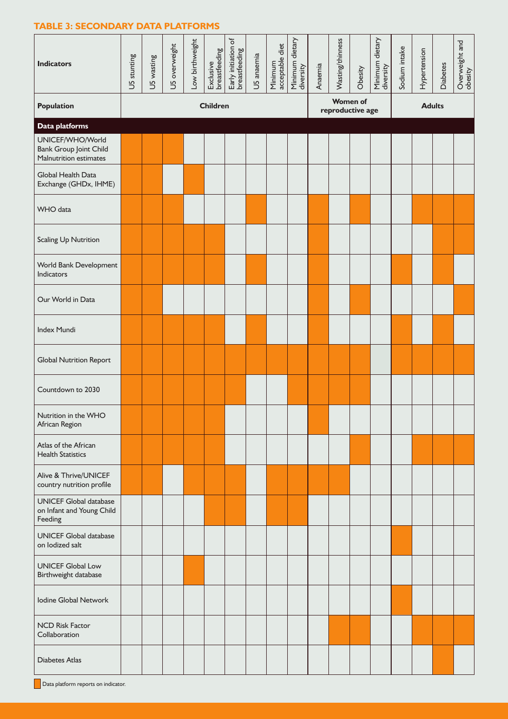#### **TABLE 3: SECONDARY DATA PLATFORMS**

| <b>Indicators</b>                                                           | U5 stunting | U5 wasting | U5 overweight | Low birthweight | Exclusive<br>breastfeeding | Early initiation of<br>breastfeeding | U5 anaemia | Minimum<br>acceptable diet | Minimum dietary<br>diversity | Anaemia | Wasting/thinness                                                                     | Obesity |  | Sodium intake | Hypertension | <b>Diabetes</b> | Overweight and<br>obesity |
|-----------------------------------------------------------------------------|-------------|------------|---------------|-----------------|----------------------------|--------------------------------------|------------|----------------------------|------------------------------|---------|--------------------------------------------------------------------------------------|---------|--|---------------|--------------|-----------------|---------------------------|
| <b>Population</b>                                                           |             |            |               |                 | <b>Children</b>            |                                      |            |                            |                              |         | Minimum dietary<br>diversity<br><b>Women of</b><br><b>Adults</b><br>reproductive age |         |  |               |              |                 |                           |
| <b>Data platforms</b>                                                       |             |            |               |                 |                            |                                      |            |                            |                              |         |                                                                                      |         |  |               |              |                 |                           |
| UNICEF/WHO/World<br><b>Bank Group Joint Child</b><br>Malnutrition estimates |             |            |               |                 |                            |                                      |            |                            |                              |         |                                                                                      |         |  |               |              |                 |                           |
| Global Health Data<br>Exchange (GHDx, IHME)                                 |             |            |               |                 |                            |                                      |            |                            |                              |         |                                                                                      |         |  |               |              |                 |                           |
| WHO data                                                                    |             |            |               |                 |                            |                                      |            |                            |                              |         |                                                                                      |         |  |               |              |                 |                           |
| Scaling Up Nutrition                                                        |             |            |               |                 |                            |                                      |            |                            |                              |         |                                                                                      |         |  |               |              |                 |                           |
| World Bank Development<br>Indicators                                        |             |            |               |                 |                            |                                      |            |                            |                              |         |                                                                                      |         |  |               |              |                 |                           |
| Our World in Data                                                           |             |            |               |                 |                            |                                      |            |                            |                              |         |                                                                                      |         |  |               |              |                 |                           |
| Index Mundi                                                                 |             |            |               |                 |                            |                                      |            |                            |                              |         |                                                                                      |         |  |               |              |                 |                           |
| <b>Global Nutrition Report</b>                                              |             |            |               |                 |                            |                                      |            |                            |                              |         |                                                                                      |         |  |               |              |                 |                           |
| Countdown to 2030                                                           |             |            |               |                 |                            |                                      |            |                            |                              |         |                                                                                      |         |  |               |              |                 |                           |
| Nutrition in the WHO<br>African Region                                      |             |            |               |                 |                            |                                      |            |                            |                              |         |                                                                                      |         |  |               |              |                 |                           |
| Atlas of the African<br><b>Health Statistics</b>                            |             |            |               |                 |                            |                                      |            |                            |                              |         |                                                                                      |         |  |               |              |                 |                           |
| Alive & Thrive/UNICEF<br>country nutrition profile                          |             |            |               |                 |                            |                                      |            |                            |                              |         |                                                                                      |         |  |               |              |                 |                           |
| <b>UNICEF Global database</b><br>on Infant and Young Child<br>Feeding       |             |            |               |                 |                            |                                      |            |                            |                              |         |                                                                                      |         |  |               |              |                 |                           |
| <b>UNICEF Global database</b><br>on lodized salt                            |             |            |               |                 |                            |                                      |            |                            |                              |         |                                                                                      |         |  |               |              |                 |                           |
| <b>UNICEF Global Low</b><br>Birthweight database                            |             |            |               |                 |                            |                                      |            |                            |                              |         |                                                                                      |         |  |               |              |                 |                           |
| Iodine Global Network                                                       |             |            |               |                 |                            |                                      |            |                            |                              |         |                                                                                      |         |  |               |              |                 |                           |
| <b>NCD Risk Factor</b><br>Collaboration                                     |             |            |               |                 |                            |                                      |            |                            |                              |         |                                                                                      |         |  |               |              |                 |                           |
| <b>Diabetes Atlas</b>                                                       |             |            |               |                 |                            |                                      |            |                            |                              |         |                                                                                      |         |  |               |              |                 |                           |

**Data platform reports on indicator.**